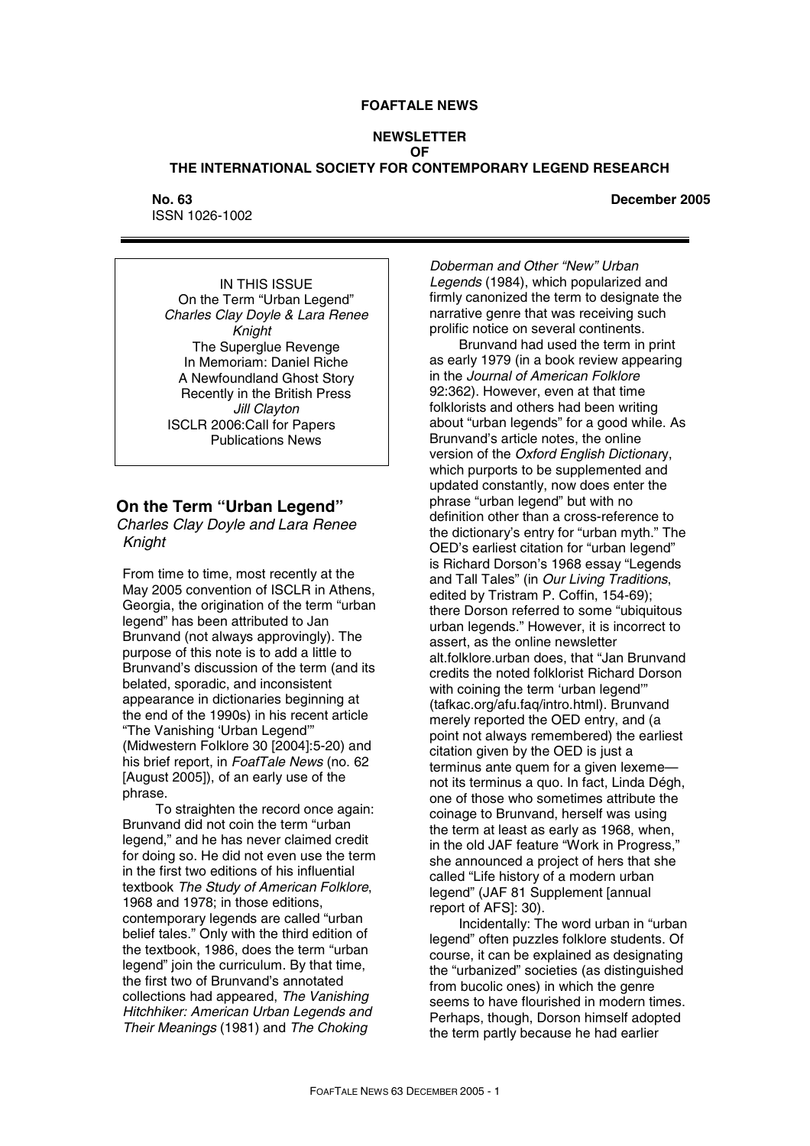### **FOAFTALE NEWS**

### **NEWSLETTER OF THE INTERNATIONAL SOCIETY FOR CONTEMPORARY LEGEND RESEARCH**

#### **No. 63 December 2005**

ISSN 1026-1002

IN THIS ISSUE On the Term "Urban Legend" *Charles Clay Doyle & Lara Renee Knight*  The Superglue Revenge In Memoriam: Daniel Riche A Newfoundland Ghost Story Recently in the British Press *Jill Clayton*  ISCLR 2006:Call for Papers Publications News

# **On the Term "Urban Legend"**

*Charles Clay Doyle and Lara Renee Knight*

From time to time, most recently at the May 2005 convention of ISCLR in Athens, Georgia, the origination of the term "urban legend" has been attributed to Jan Brunvand (not always approvingly). The purpose of this note is to add a little to Brunvand's discussion of the term (and its belated, sporadic, and inconsistent appearance in dictionaries beginning at the end of the 1990s) in his recent article "The Vanishing 'Urban Legend'" (Midwestern Folklore 30 [2004]:5-20) and his brief report, in *FoafTale News* (no. 62 [August 2005]), of an early use of the phrase.

 To straighten the record once again: Brunvand did not coin the term "urban legend," and he has never claimed credit for doing so. He did not even use the term in the first two editions of his influential textbook *The Study of American Folklore*, 1968 and 1978; in those editions, contemporary legends are called "urban belief tales." Only with the third edition of the textbook, 1986, does the term "urban legend" join the curriculum. By that time, the first two of Brunvand's annotated collections had appeared, *The Vanishing Hitchhiker: American Urban Legends and Their Meanings* (1981) and *The Choking* 

*Doberman and Other "New" Urban Legends* (1984), which popularized and firmly canonized the term to designate the narrative genre that was receiving such prolific notice on several continents.

Brunvand had used the term in print as early 1979 (in a book review appearing in the *Journal of American Folklore* 92:362). However, even at that time folklorists and others had been writing about "urban legends" for a good while. As Brunvand's article notes, the online version of the *Oxford English Dictionar*y, which purports to be supplemented and updated constantly, now does enter the phrase "urban legend" but with no definition other than a cross-reference to the dictionary's entry for "urban myth." The OED's earliest citation for "urban legend" is Richard Dorson's 1968 essay "Legends and Tall Tales" (in *Our Living Traditions*, edited by Tristram P. Coffin, 154-69); there Dorson referred to some "ubiquitous urban legends." However, it is incorrect to assert, as the online newsletter alt.folklore.urban does, that "Jan Brunvand credits the noted folklorist Richard Dorson with coining the term 'urban legend" (tafkac.org/afu.faq/intro.html). Brunvand merely reported the OED entry, and (a point not always remembered) the earliest citation given by the OED is just a terminus ante quem for a given lexeme not its terminus a quo. In fact, Linda Dégh, one of those who sometimes attribute the coinage to Brunvand, herself was using the term at least as early as 1968, when, in the old JAF feature "Work in Progress," she announced a project of hers that she called "Life history of a modern urban legend" (JAF 81 Supplement [annual report of AFS]: 30).

Incidentally: The word urban in "urban legend" often puzzles folklore students. Of course, it can be explained as designating the "urbanized" societies (as distinguished from bucolic ones) in which the genre seems to have flourished in modern times. Perhaps, though, Dorson himself adopted the term partly because he had earlier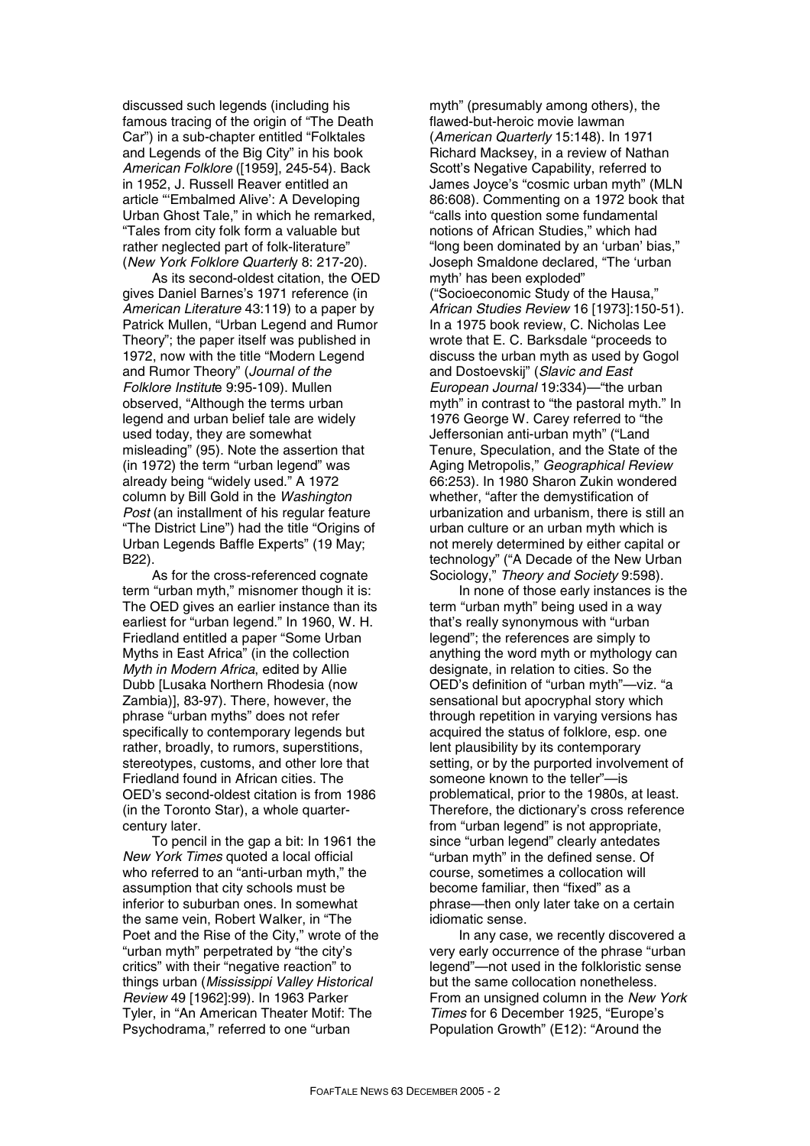discussed such legends (including his famous tracing of the origin of "The Death Car") in a sub-chapter entitled "Folktales and Legends of the Big City" in his book *American Folklore* ([1959], 245-54). Back in 1952, J. Russell Reaver entitled an article "'Embalmed Alive': A Developing Urban Ghost Tale," in which he remarked, "Tales from city folk form a valuable but rather neglected part of folk-literature" (*New York Folklore Quarterl*y 8: 217-20).

As its second-oldest citation, the OED gives Daniel Barnes's 1971 reference (in *American Literature* 43:119) to a paper by Patrick Mullen, "Urban Legend and Rumor Theory"; the paper itself was published in 1972, now with the title "Modern Legend and Rumor Theory" (*Journal of the Folklore Institut*e 9:95-109). Mullen observed, "Although the terms urban legend and urban belief tale are widely used today, they are somewhat misleading" (95). Note the assertion that (in 1972) the term "urban legend" was already being "widely used." A 1972 column by Bill Gold in the *Washington Post* (an installment of his regular feature "The District Line") had the title "Origins of Urban Legends Baffle Experts" (19 May; B22).

As for the cross-referenced cognate term "urban myth," misnomer though it is: The OED gives an earlier instance than its earliest for "urban legend." In 1960, W. H. Friedland entitled a paper "Some Urban Myths in East Africa" (in the collection *Myth in Modern Africa*, edited by Allie Dubb [Lusaka Northern Rhodesia (now Zambia)], 83-97). There, however, the phrase "urban myths" does not refer specifically to contemporary legends but rather, broadly, to rumors, superstitions, stereotypes, customs, and other lore that Friedland found in African cities. The OED's second-oldest citation is from 1986 (in the Toronto Star), a whole quartercentury later.

To pencil in the gap a bit: In 1961 the *New York Times* quoted a local official who referred to an "anti-urban myth," the assumption that city schools must be inferior to suburban ones. In somewhat the same vein, Robert Walker, in "The Poet and the Rise of the City," wrote of the "urban myth" perpetrated by "the city's critics" with their "negative reaction" to things urban (*Mississippi Valley Historical Review* 49 [1962]:99). In 1963 Parker Tyler, in "An American Theater Motif: The Psychodrama," referred to one "urban

myth" (presumably among others), the flawed-but-heroic movie lawman (*American Quarterly* 15:148). In 1971 Richard Macksey, in a review of Nathan Scott's Negative Capability, referred to James Joyce's "cosmic urban myth" (MLN 86:608). Commenting on a 1972 book that "calls into question some fundamental notions of African Studies," which had "long been dominated by an 'urban' bias," Joseph Smaldone declared, "The 'urban myth' has been exploded" ("Socioeconomic Study of the Hausa," *African Studies Review* 16 [1973]:150-51). In a 1975 book review, C. Nicholas Lee wrote that E. C. Barksdale "proceeds to discuss the urban myth as used by Gogol and Dostoevskij" (*Slavic and East European Journal* 19:334)—"the urban myth" in contrast to "the pastoral myth." In 1976 George W. Carey referred to "the Jeffersonian anti-urban myth" ("Land Tenure, Speculation, and the State of the Aging Metropolis," *Geographical Review* 66:253). In 1980 Sharon Zukin wondered whether, "after the demystification of urbanization and urbanism, there is still an urban culture or an urban myth which is not merely determined by either capital or technology" ("A Decade of the New Urban Sociology," *Theory and Society* 9:598).

In none of those early instances is the term "urban myth" being used in a way that's really synonymous with "urban legend"; the references are simply to anything the word myth or mythology can designate, in relation to cities. So the OED's definition of "urban myth"—viz. "a sensational but apocryphal story which through repetition in varying versions has acquired the status of folklore, esp. one lent plausibility by its contemporary setting, or by the purported involvement of someone known to the teller"—is problematical, prior to the 1980s, at least. Therefore, the dictionary's cross reference from "urban legend" is not appropriate, since "urban legend" clearly antedates "urban myth" in the defined sense. Of course, sometimes a collocation will become familiar, then "fixed" as a phrase—then only later take on a certain idiomatic sense.

In any case, we recently discovered a very early occurrence of the phrase "urban legend"—not used in the folkloristic sense but the same collocation nonetheless. From an unsigned column in the *New York Times* for 6 December 1925, "Europe's Population Growth" (E12): "Around the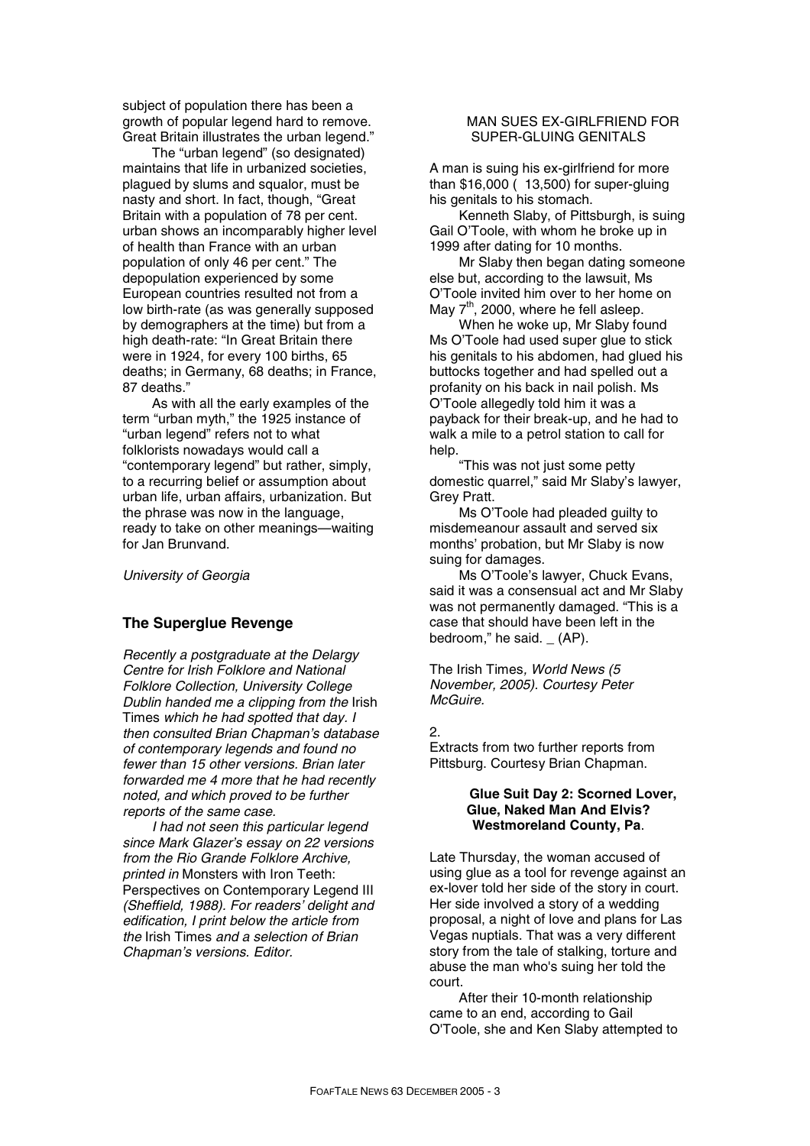subject of population there has been a growth of popular legend hard to remove. Great Britain illustrates the urban legend."

The "urban legend" (so designated) maintains that life in urbanized societies, plagued by slums and squalor, must be nasty and short. In fact, though, "Great Britain with a population of 78 per cent. urban shows an incomparably higher level of health than France with an urban population of only 46 per cent." The depopulation experienced by some European countries resulted not from a low birth-rate (as was generally supposed by demographers at the time) but from a high death-rate: "In Great Britain there were in 1924, for every 100 births, 65 deaths; in Germany, 68 deaths; in France, 87 deaths."

As with all the early examples of the term "urban myth," the 1925 instance of "urban legend" refers not to what folklorists nowadays would call a "contemporary legend" but rather, simply, to a recurring belief or assumption about urban life, urban affairs, urbanization. But the phrase was now in the language, ready to take on other meanings—waiting for Jan Brunvand.

*University of Georgia* 

### **The Superglue Revenge**

*Recently a postgraduate at the Delargy Centre for Irish Folklore and National Folklore Collection, University College Dublin handed me a clipping from the* Irish Times *which he had spotted that day. I then consulted Brian Chapman's database of contemporary legends and found no fewer than 15 other versions. Brian later forwarded me 4 more that he had recently noted, and which proved to be further reports of the same case.* 

*I had not seen this particular legend since Mark Glazer's essay on 22 versions from the Rio Grande Folklore Archive, printed in* Monsters with Iron Teeth: Perspectives on Contemporary Legend III *(Sheffield, 1988). For readers' delight and edification, I print below the article from the* Irish Times *and a selection of Brian Chapman's versions. Editor.* 

### MAN SUES EX-GIRLFRIEND FOR SUPER-GLUING GENITALS

A man is suing his ex-girlfriend for more than \$16,000 ( 13,500) for super-gluing his genitals to his stomach.

Kenneth Slaby, of Pittsburgh, is suing Gail O'Toole, with whom he broke up in 1999 after dating for 10 months.

Mr Slaby then began dating someone else but, according to the lawsuit, Ms O'Toole invited him over to her home on May  $7<sup>th</sup>$ , 2000, where he fell asleep.

When he woke up, Mr Slaby found Ms O'Toole had used super glue to stick his genitals to his abdomen, had glued his buttocks together and had spelled out a profanity on his back in nail polish. Ms O'Toole allegedly told him it was a payback for their break-up, and he had to walk a mile to a petrol station to call for help.

"This was not just some petty domestic quarrel," said Mr Slaby's lawyer, Grey Pratt.

Ms O'Toole had pleaded guilty to misdemeanour assault and served six months' probation, but Mr Slaby is now suing for damages.

Ms O'Toole's lawyer, Chuck Evans, said it was a consensual act and Mr Slaby was not permanently damaged. "This is a case that should have been left in the bedroom," he said. \_ (AP).

The Irish Times*, World News (5 November, 2005). Courtesy Peter McGuire.* 

#### 2.

Extracts from two further reports from Pittsburg. Courtesy Brian Chapman.

### **Glue Suit Day 2: Scorned Lover, Glue, Naked Man And Elvis? Westmoreland County, Pa**.

Late Thursday, the woman accused of using glue as a tool for revenge against an ex-lover told her side of the story in court. Her side involved a story of a wedding proposal, a night of love and plans for Las Vegas nuptials. That was a very different story from the tale of stalking, torture and abuse the man who's suing her told the court.

After their 10-month relationship came to an end, according to Gail O'Toole, she and Ken Slaby attempted to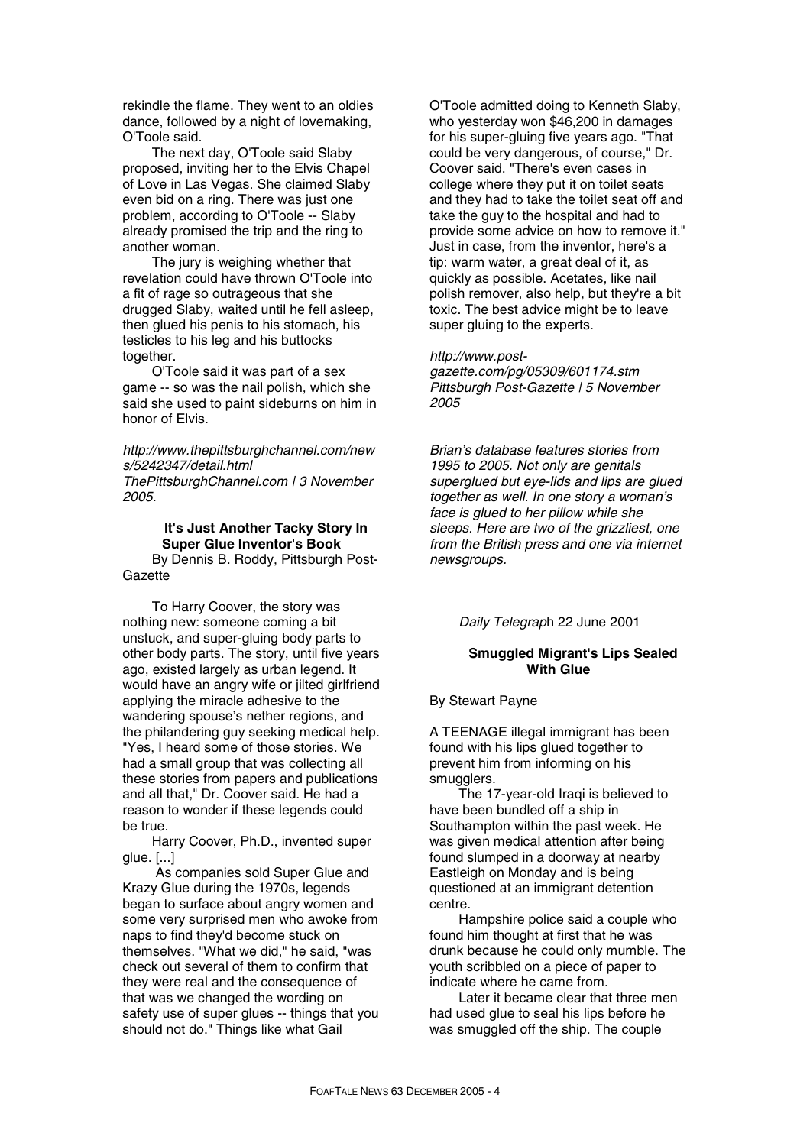rekindle the flame. They went to an oldies dance, followed by a night of lovemaking, O'Toole said.

The next day, O'Toole said Slaby proposed, inviting her to the Elvis Chapel of Love in Las Vegas. She claimed Slaby even bid on a ring. There was just one problem, according to O'Toole -- Slaby already promised the trip and the ring to another woman.

The jury is weighing whether that revelation could have thrown O'Toole into a fit of rage so outrageous that she drugged Slaby, waited until he fell asleep, then glued his penis to his stomach, his testicles to his leg and his buttocks together.

O'Toole said it was part of a sex game -- so was the nail polish, which she said she used to paint sideburns on him in honor of Elvis.

*http://www.thepittsburghchannel.com/new s/5242347/detail.html ThePittsburghChannel.com | 3 November 2005.*

# **It's Just Another Tacky Story In Super Glue Inventor's Book**

By Dennis B. Roddy, Pittsburgh Post-**Gazette** 

To Harry Coover, the story was nothing new: someone coming a bit unstuck, and super-gluing body parts to other body parts. The story, until five years ago, existed largely as urban legend. It would have an angry wife or jilted girlfriend applying the miracle adhesive to the wandering spouse's nether regions, and the philandering guy seeking medical help. "Yes, I heard some of those stories. We had a small group that was collecting all these stories from papers and publications and all that," Dr. Coover said. He had a reason to wonder if these legends could be true.

Harry Coover, Ph.D., invented super glue. [...]

 As companies sold Super Glue and Krazy Glue during the 1970s, legends began to surface about angry women and some very surprised men who awoke from naps to find they'd become stuck on themselves. "What we did," he said, "was check out several of them to confirm that they were real and the consequence of that was we changed the wording on safety use of super glues -- things that you should not do." Things like what Gail

O'Toole admitted doing to Kenneth Slaby, who yesterday won \$46,200 in damages for his super-gluing five years ago. "That could be very dangerous, of course," Dr. Coover said. "There's even cases in college where they put it on toilet seats and they had to take the toilet seat off and take the guy to the hospital and had to provide some advice on how to remove it." Just in case, from the inventor, here's a tip: warm water, a great deal of it, as quickly as possible. Acetates, like nail polish remover, also help, but they're a bit toxic. The best advice might be to leave super gluing to the experts.

### *http://www.post-*

*gazette.com/pg/05309/601174.stm Pittsburgh Post-Gazette | 5 November 2005* 

*Brian's database features stories from 1995 to 2005. Not only are genitals superglued but eye-lids and lips are glued together as well. In one story a woman's face is glued to her pillow while she sleeps. Here are two of the grizzliest, one from the British press and one via internet newsgroups.* 

*Daily Telegrap*h 22 June 2001

### **Smuggled Migrant's Lips Sealed With Glue**

By Stewart Payne

A TEENAGE illegal immigrant has been found with his lips glued together to prevent him from informing on his smugglers.

The 17-year-old Iraqi is believed to have been bundled off a ship in Southampton within the past week. He was given medical attention after being found slumped in a doorway at nearby Eastleigh on Monday and is being questioned at an immigrant detention centre.

Hampshire police said a couple who found him thought at first that he was drunk because he could only mumble. The youth scribbled on a piece of paper to indicate where he came from.

Later it became clear that three men had used glue to seal his lips before he was smuggled off the ship. The couple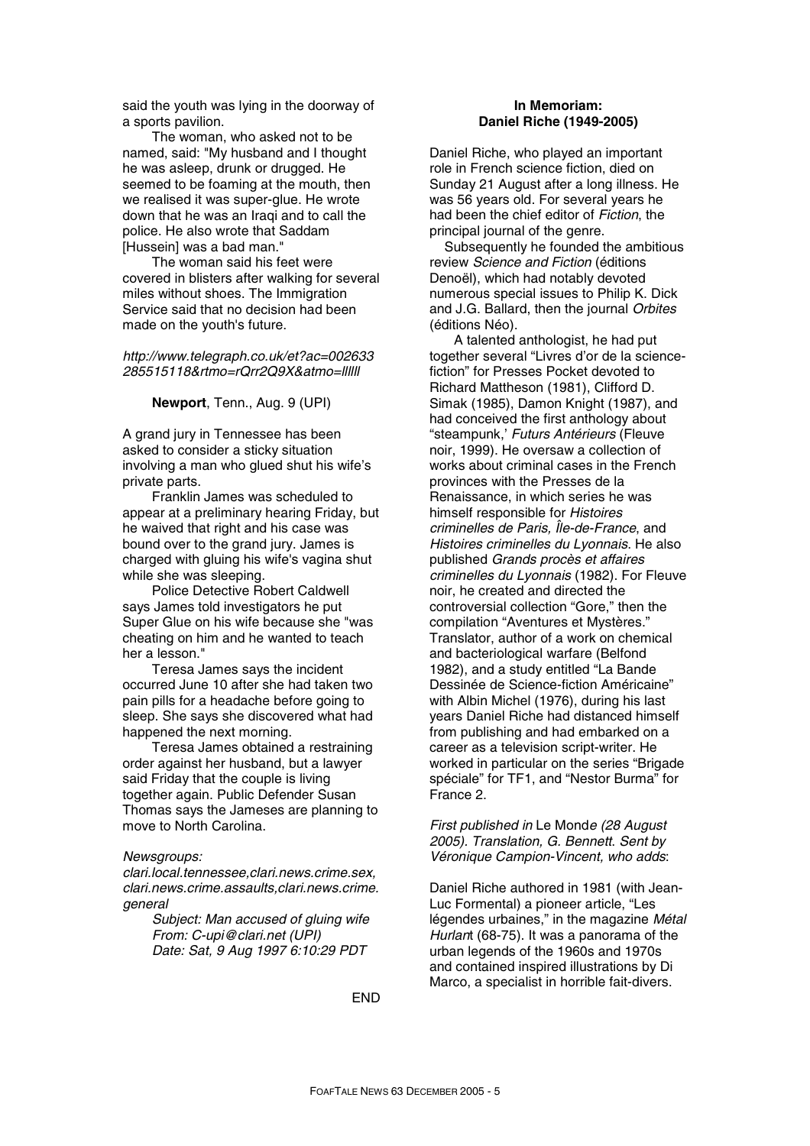said the youth was lying in the doorway of a sports pavilion.

The woman, who asked not to be named, said: "My husband and I thought he was asleep, drunk or drugged. He seemed to be foaming at the mouth, then we realised it was super-glue. He wrote down that he was an Iraqi and to call the police. He also wrote that Saddam [Hussein] was a bad man."

The woman said his feet were covered in blisters after walking for several miles without shoes. The Immigration Service said that no decision had been made on the youth's future.

*http://www.telegraph.co.uk/et?ac=002633 285515118&rtmo=rQrr2Q9X&atmo=llllll* 

#### **Newport**, Tenn., Aug. 9 (UPI)

A grand jury in Tennessee has been asked to consider a sticky situation involving a man who glued shut his wife's private parts.

Franklin James was scheduled to appear at a preliminary hearing Friday, but he waived that right and his case was bound over to the grand jury. James is charged with gluing his wife's vagina shut while she was sleeping.

Police Detective Robert Caldwell says James told investigators he put Super Glue on his wife because she "was cheating on him and he wanted to teach her a lesson."

Teresa James says the incident occurred June 10 after she had taken two pain pills for a headache before going to sleep. She says she discovered what had happened the next morning.

Teresa James obtained a restraining order against her husband, but a lawyer said Friday that the couple is living together again. Public Defender Susan Thomas says the Jameses are planning to move to North Carolina.

#### *Newsgroups:*

*clari.local.tennessee,clari.news.crime.sex, clari.news.crime.assaults,clari.news.crime. general* 

> *Subject: Man accused of gluing wife From: C-upi@clari.net (UPI) Date: Sat, 9 Aug 1997 6:10:29 PDT*

### **In Memoriam: Daniel Riche (1949-2005)**

Daniel Riche, who played an important role in French science fiction, died on Sunday 21 August after a long illness. He was 56 years old. For several years he had been the chief editor of *Fiction*, the principal journal of the genre.

Subsequently he founded the ambitious review *Science and Fiction* (éditions Denoël), which had notably devoted numerous special issues to Philip K. Dick and J.G. Ballard, then the journal *Orbites* (éditions Néo).

A talented anthologist, he had put together several "Livres d'or de la sciencefiction" for Presses Pocket devoted to Richard Mattheson (1981), Clifford D. Simak (1985), Damon Knight (1987), and had conceived the first anthology about "steampunk,' *Futurs Antérieurs* (Fleuve noir, 1999). He oversaw a collection of works about criminal cases in the French provinces with the Presses de la Renaissance, in which series he was himself responsible for *Histoires criminelles de Paris, Île-de-France*, and *Histoires criminelles du Lyonnais*. He also published *Grands procès et affaires criminelles du Lyonnais* (1982). For Fleuve noir, he created and directed the controversial collection "Gore," then the compilation "Aventures et Mystères." Translator, author of a work on chemical and bacteriological warfare (Belfond 1982), and a study entitled "La Bande Dessinée de Science-fiction Américaine" with Albin Michel (1976), during his last years Daniel Riche had distanced himself from publishing and had embarked on a career as a television script-writer. He worked in particular on the series "Brigade spéciale" for TF1, and "Nestor Burma" for France 2.

*First published in* Le Mond*e (28 August 2005). Translation, G. Bennett*. *Sent by Véronique Campion-Vincent, who adds*:

Daniel Riche authored in 1981 (with Jean-Luc Formental) a pioneer article, "Les légendes urbaines," in the magazine *Métal Hurlan*t (68-75). It was a panorama of the urban legends of the 1960s and 1970s and contained inspired illustrations by Di Marco, a specialist in horrible fait-divers.

END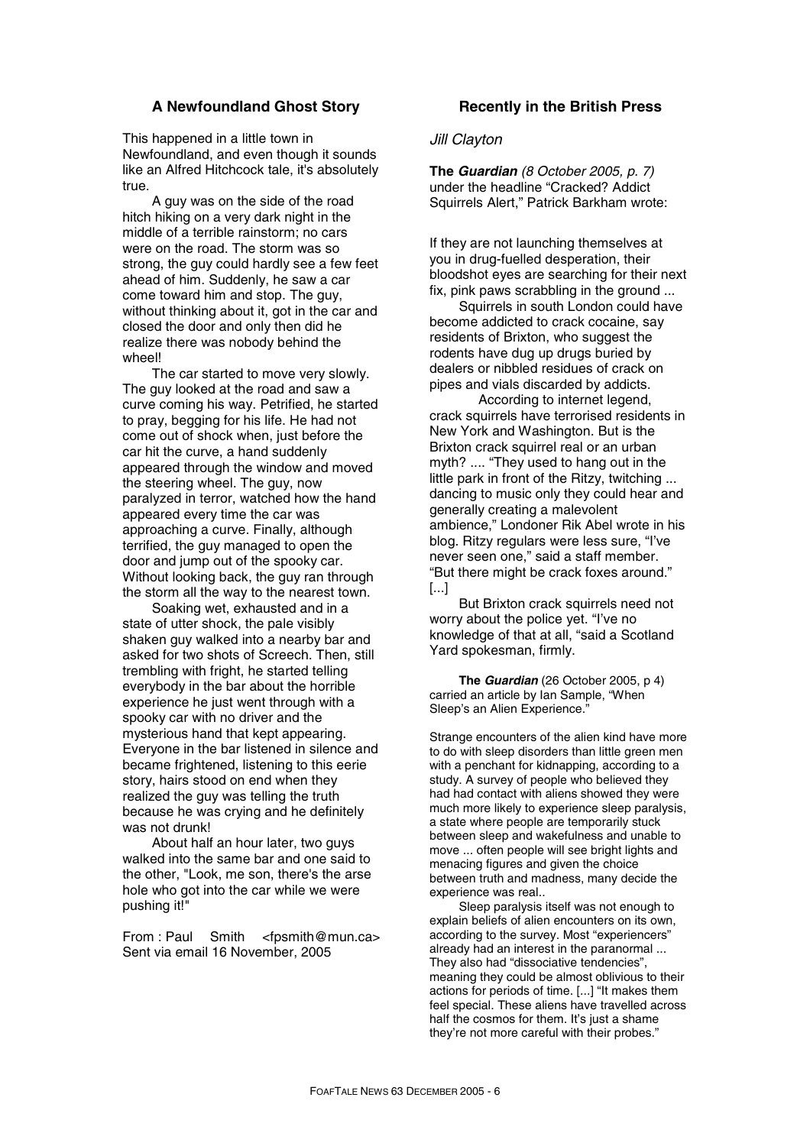# **A Newfoundland Ghost Story**

This happened in a little town in Newfoundland, and even though it sounds like an Alfred Hitchcock tale, it's absolutely true.

A guy was on the side of the road hitch hiking on a very dark night in the middle of a terrible rainstorm; no cars were on the road. The storm was so strong, the guy could hardly see a few feet ahead of him. Suddenly, he saw a car come toward him and stop. The guy, without thinking about it, got in the car and closed the door and only then did he realize there was nobody behind the wheel!

The car started to move very slowly. The guy looked at the road and saw a curve coming his way. Petrified, he started to pray, begging for his life. He had not come out of shock when, just before the car hit the curve, a hand suddenly appeared through the window and moved the steering wheel. The guy, now paralyzed in terror, watched how the hand appeared every time the car was approaching a curve. Finally, although terrified, the guy managed to open the door and jump out of the spooky car. Without looking back, the guy ran through the storm all the way to the nearest town.

Soaking wet, exhausted and in a state of utter shock, the pale visibly shaken guy walked into a nearby bar and asked for two shots of Screech. Then, still trembling with fright, he started telling everybody in the bar about the horrible experience he just went through with a spooky car with no driver and the mysterious hand that kept appearing. Everyone in the bar listened in silence and became frightened, listening to this eerie story, hairs stood on end when they realized the guy was telling the truth because he was crying and he definitely was not drunk!

About half an hour later, two guys walked into the same bar and one said to the other, "Look, me son, there's the arse hole who got into the car while we were pushing it!"

From : Paul Smith <fpsmith@mun.ca> Sent via email 16 November, 2005

### **Recently in the British Press**

### *Jill Clayton*

**The** *Guardian (8 October 2005, p. 7)* under the headline "Cracked? Addict Squirrels Alert," Patrick Barkham wrote:

If they are not launching themselves at you in drug-fuelled desperation, their bloodshot eyes are searching for their next fix, pink paws scrabbling in the ground ...

Squirrels in south London could have become addicted to crack cocaine, say residents of Brixton, who suggest the rodents have dug up drugs buried by dealers or nibbled residues of crack on pipes and vials discarded by addicts.

 According to internet legend, crack squirrels have terrorised residents in New York and Washington. But is the Brixton crack squirrel real or an urban myth? .... "They used to hang out in the little park in front of the Ritzy, twitching ... dancing to music only they could hear and generally creating a malevolent ambience," Londoner Rik Abel wrote in his blog. Ritzy regulars were less sure, "I've never seen one," said a staff member. "But there might be crack foxes around." [...]

But Brixton crack squirrels need not worry about the police yet. "I've no knowledge of that at all, "said a Scotland Yard spokesman, firmly.

**The** *Guardian* (26 October 2005, p 4) carried an article by Ian Sample, "When Sleep's an Alien Experience."

Strange encounters of the alien kind have more to do with sleep disorders than little green men with a penchant for kidnapping, according to a study. A survey of people who believed they had had contact with aliens showed they were much more likely to experience sleep paralysis, a state where people are temporarily stuck between sleep and wakefulness and unable to move ... often people will see bright lights and menacing figures and given the choice between truth and madness, many decide the experience was real..

Sleep paralysis itself was not enough to explain beliefs of alien encounters on its own, according to the survey. Most "experiencers" already had an interest in the paranormal ... They also had "dissociative tendencies", meaning they could be almost oblivious to their actions for periods of time. [...] "It makes them feel special. These aliens have travelled across half the cosmos for them. It's just a shame they're not more careful with their probes."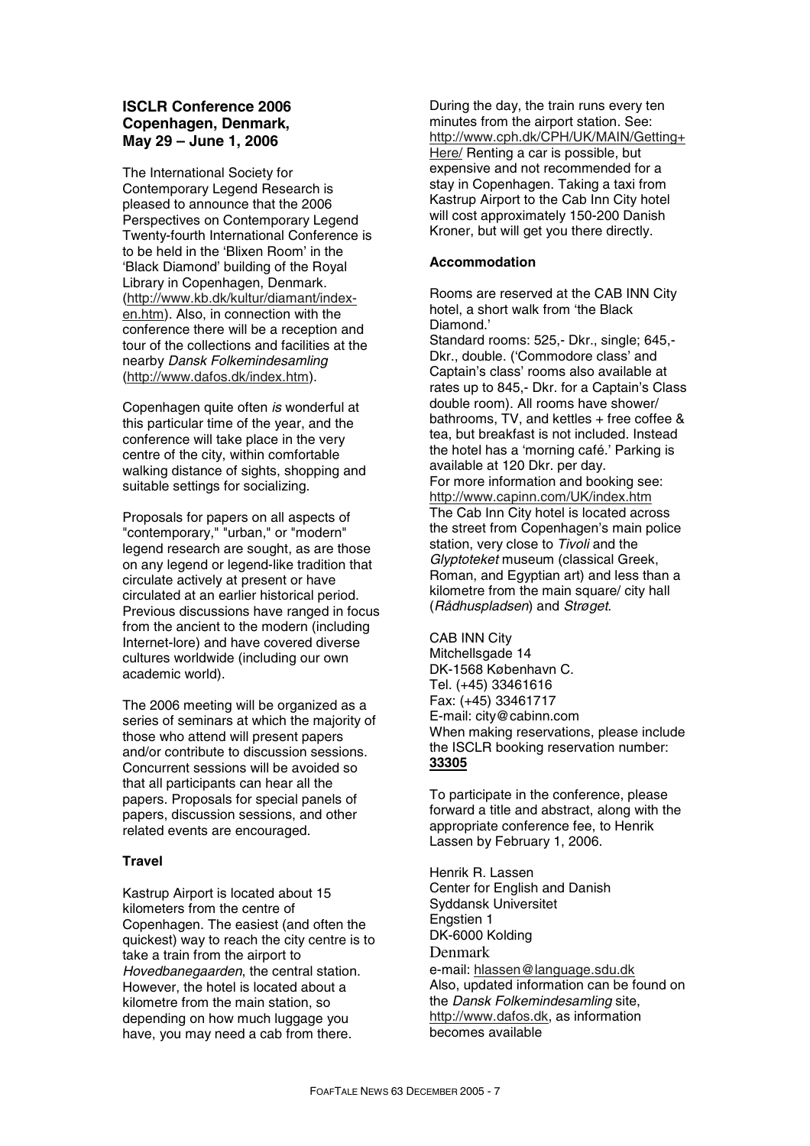# **ISCLR Conference 2006 Copenhagen, Denmark, May 29 – June 1, 2006**

The International Society for Contemporary Legend Research is pleased to announce that the 2006 Perspectives on Contemporary Legend Twenty-fourth International Conference is to be held in the 'Blixen Room' in the 'Black Diamond' building of the Royal Library in Copenhagen, Denmark. (http://www.kb.dk/kultur/diamant/indexen.htm). Also, in connection with the conference there will be a reception and tour of the collections and facilities at the nearby *Dansk Folkemindesamling* (http://www.dafos.dk/index.htm).

Copenhagen quite often *is* wonderful at this particular time of the year, and the conference will take place in the very centre of the city, within comfortable walking distance of sights, shopping and suitable settings for socializing.

Proposals for papers on all aspects of "contemporary," "urban," or "modern" legend research are sought, as are those on any legend or legend-like tradition that circulate actively at present or have circulated at an earlier historical period. Previous discussions have ranged in focus from the ancient to the modern (including Internet-lore) and have covered diverse cultures worldwide (including our own academic world).

The 2006 meeting will be organized as a series of seminars at which the majority of those who attend will present papers and/or contribute to discussion sessions. Concurrent sessions will be avoided so that all participants can hear all the papers. Proposals for special panels of papers, discussion sessions, and other related events are encouraged.

### **Travel**

Kastrup Airport is located about 15 kilometers from the centre of Copenhagen. The easiest (and often the quickest) way to reach the city centre is to take a train from the airport to *Hovedbanegaarden*, the central station. However, the hotel is located about a kilometre from the main station, so depending on how much luggage you have, you may need a cab from there.

During the day, the train runs every ten minutes from the airport station. See: http://www.cph.dk/CPH/UK/MAIN/Getting+ Here/ Renting a car is possible, but expensive and not recommended for a stay in Copenhagen. Taking a taxi from Kastrup Airport to the Cab Inn City hotel will cost approximately 150-200 Danish Kroner, but will get you there directly.

# **Accommodation**

Rooms are reserved at the CAB INN City hotel, a short walk from 'the Black Diamond.'

Standard rooms: 525,- Dkr., single; 645,- Dkr., double. ('Commodore class' and Captain's class' rooms also available at rates up to 845,- Dkr. for a Captain's Class double room). All rooms have shower/ bathrooms,  $TV$ , and kettles  $+$  free coffee & tea, but breakfast is not included. Instead the hotel has a 'morning café.' Parking is available at 120 Dkr. per day. For more information and booking see: http://www.capinn.com/UK/index.htm The Cab Inn City hotel is located across the street from Copenhagen's main police station, very close to *Tivoli* and the *Glyptoteket* museum (classical Greek, Roman, and Egyptian art) and less than a kilometre from the main square/ city hall (*Rådhuspladsen*) and *Strøget*.

CAB INN City Mitchellsgade 14 DK-1568 København C. Tel. (+45) 33461616 Fax: (+45) 33461717 E-mail: city@cabinn.com When making reservations, please include the ISCLR booking reservation number: **33305**

To participate in the conference, please forward a title and abstract, along with the appropriate conference fee, to Henrik Lassen by February 1, 2006.

Henrik R. Lassen Center for English and Danish Syddansk Universitet Engstien 1 DK-6000 Kolding Denmark e-mail: hlassen@language.sdu.dk Also, updated information can be found on the *Dansk Folkemindesamling* site, http://www.dafos.dk, as information becomes available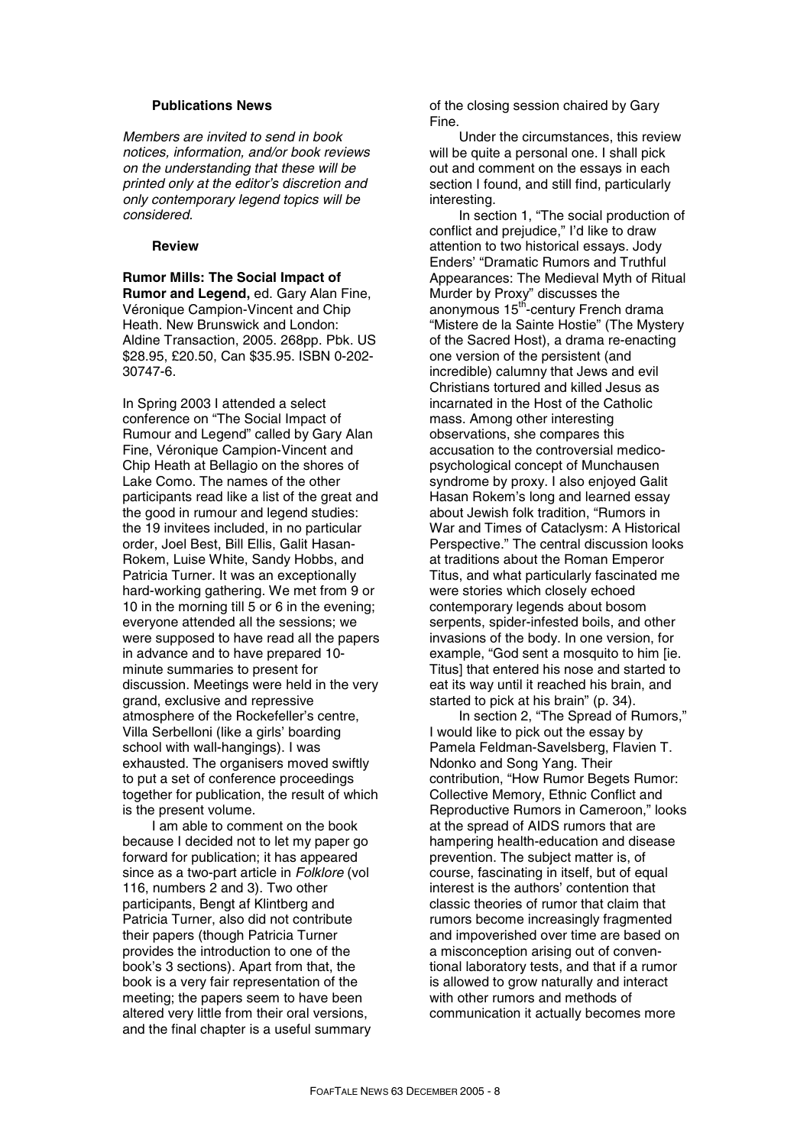### **Publications News**

*Members are invited to send in book notices, information, and/or book reviews on the understanding that these will be printed only at the editor's discretion and only contemporary legend topics will be considered.* 

### **Review**

**Rumor Mills: The Social Impact of Rumor and Legend,** ed. Gary Alan Fine, Véronique Campion-Vincent and Chip Heath. New Brunswick and London: Aldine Transaction, 2005, 268pp. Pbk. US \$28.95, £20.50, Can \$35.95. ISBN 0-202- 30747-6.

In Spring 2003 I attended a select conference on "The Social Impact of Rumour and Legend" called by Gary Alan Fine, Véronique Campion-Vincent and Chip Heath at Bellagio on the shores of Lake Como. The names of the other participants read like a list of the great and the good in rumour and legend studies: the 19 invitees included, in no particular order, Joel Best, Bill Ellis, Galit Hasan-Rokem, Luise White, Sandy Hobbs, and Patricia Turner. It was an exceptionally hard-working gathering. We met from 9 or 10 in the morning till 5 or 6 in the evening; everyone attended all the sessions; we were supposed to have read all the papers in advance and to have prepared 10 minute summaries to present for discussion. Meetings were held in the very grand, exclusive and repressive atmosphere of the Rockefeller's centre, Villa Serbelloni (like a girls' boarding school with wall-hangings). I was exhausted. The organisers moved swiftly to put a set of conference proceedings together for publication, the result of which is the present volume.

I am able to comment on the book because I decided not to let my paper go forward for publication; it has appeared since as a two-part article in *Folklore* (vol 116, numbers 2 and 3). Two other participants, Bengt af Klintberg and Patricia Turner, also did not contribute their papers (though Patricia Turner provides the introduction to one of the book's 3 sections). Apart from that, the book is a very fair representation of the meeting; the papers seem to have been altered very little from their oral versions, and the final chapter is a useful summary of the closing session chaired by Gary Fine.

Under the circumstances, this review will be quite a personal one. I shall pick out and comment on the essays in each section I found, and still find, particularly interesting.

In section 1, "The social production of conflict and prejudice," I'd like to draw attention to two historical essays. Jody Enders' "Dramatic Rumors and Truthful Appearances: The Medieval Myth of Ritual Murder by Proxy" discusses the anonymous 15<sup>th</sup>-century French drama "Mistere de la Sainte Hostie" (The Mystery of the Sacred Host), a drama re-enacting one version of the persistent (and incredible) calumny that Jews and evil Christians tortured and killed Jesus as incarnated in the Host of the Catholic mass. Among other interesting observations, she compares this accusation to the controversial medicopsychological concept of Munchausen syndrome by proxy. I also enjoyed Galit Hasan Rokem's long and learned essay about Jewish folk tradition, "Rumors in War and Times of Cataclysm: A Historical Perspective." The central discussion looks at traditions about the Roman Emperor Titus, and what particularly fascinated me were stories which closely echoed contemporary legends about bosom serpents, spider-infested boils, and other invasions of the body. In one version, for example, "God sent a mosquito to him [ie. Titus] that entered his nose and started to eat its way until it reached his brain, and started to pick at his brain" (p. 34).

In section 2, "The Spread of Rumors," I would like to pick out the essay by Pamela Feldman-Savelsberg, Flavien T. Ndonko and Song Yang. Their contribution, "How Rumor Begets Rumor: Collective Memory, Ethnic Conflict and Reproductive Rumors in Cameroon," looks at the spread of AIDS rumors that are hampering health-education and disease prevention. The subject matter is, of course, fascinating in itself, but of equal interest is the authors' contention that classic theories of rumor that claim that rumors become increasingly fragmented and impoverished over time are based on a misconception arising out of conventional laboratory tests, and that if a rumor is allowed to grow naturally and interact with other rumors and methods of communication it actually becomes more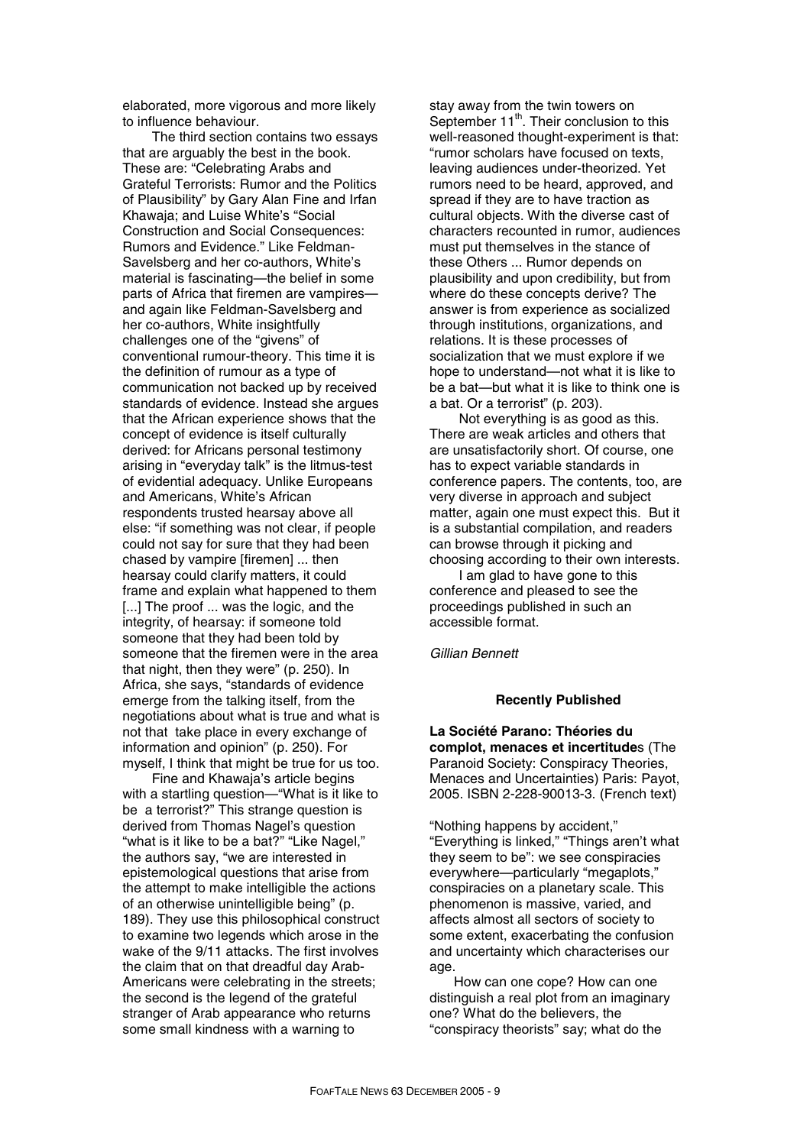elaborated, more vigorous and more likely to influence behaviour.

The third section contains two essays that are arguably the best in the book. These are: "Celebrating Arabs and Grateful Terrorists: Rumor and the Politics of Plausibility" by Gary Alan Fine and Irfan Khawaja; and Luise White's "Social Construction and Social Consequences: Rumors and Evidence." Like Feldman-Savelsberg and her co-authors, White's material is fascinating—the belief in some parts of Africa that firemen are vampires and again like Feldman-Savelsberg and her co-authors, White insightfully challenges one of the "givens" of conventional rumour-theory. This time it is the definition of rumour as a type of communication not backed up by received standards of evidence. Instead she argues that the African experience shows that the concept of evidence is itself culturally derived: for Africans personal testimony arising in "everyday talk" is the litmus-test of evidential adequacy. Unlike Europeans and Americans, White's African respondents trusted hearsay above all else: "if something was not clear, if people could not say for sure that they had been chased by vampire [firemen] ... then hearsay could clarify matters, it could frame and explain what happened to them [...] The proof ... was the logic, and the integrity, of hearsay: if someone told someone that they had been told by someone that the firemen were in the area that night, then they were" (p. 250). In Africa, she says, "standards of evidence emerge from the talking itself, from the negotiations about what is true and what is not that take place in every exchange of information and opinion" (p. 250). For myself, I think that might be true for us too.

Fine and Khawaja's article begins with a startling question—"What is it like to be a terrorist?" This strange question is derived from Thomas Nagel's question "what is it like to be a bat?" "Like Nagel," the authors say, "we are interested in epistemological questions that arise from the attempt to make intelligible the actions of an otherwise unintelligible being" (p. 189). They use this philosophical construct to examine two legends which arose in the wake of the 9/11 attacks. The first involves the claim that on that dreadful day Arab-Americans were celebrating in the streets; the second is the legend of the grateful stranger of Arab appearance who returns some small kindness with a warning to

stay away from the twin towers on September 11<sup>th</sup>. Their conclusion to this well-reasoned thought-experiment is that: "rumor scholars have focused on texts, leaving audiences under-theorized. Yet rumors need to be heard, approved, and spread if they are to have traction as cultural objects. With the diverse cast of characters recounted in rumor, audiences must put themselves in the stance of these Others ... Rumor depends on plausibility and upon credibility, but from where do these concepts derive? The answer is from experience as socialized through institutions, organizations, and relations. It is these processes of socialization that we must explore if we hope to understand—not what it is like to be a bat—but what it is like to think one is a bat. Or a terrorist" (p. 203).

Not everything is as good as this. There are weak articles and others that are unsatisfactorily short. Of course, one has to expect variable standards in conference papers. The contents, too, are very diverse in approach and subject matter, again one must expect this. But it is a substantial compilation, and readers can browse through it picking and choosing according to their own interests.

I am glad to have gone to this conference and pleased to see the proceedings published in such an accessible format.

*Gillian Bennett*

### **Recently Published**

**La Société Parano: Théories du complot, menaces et incertitude**s (The Paranoid Society: Conspiracy Theories, Menaces and Uncertainties) Paris: Payot, 2005. ISBN 2-228-90013-3. (French text)

"Nothing happens by accident," "Everything is linked," "Things aren't what they seem to be": we see conspiracies everywhere—particularly "megaplots," conspiracies on a planetary scale. This phenomenon is massive, varied, and affects almost all sectors of society to some extent, exacerbating the confusion and uncertainty which characterises our age.

How can one cope? How can one distinguish a real plot from an imaginary one? What do the believers, the "conspiracy theorists" say; what do the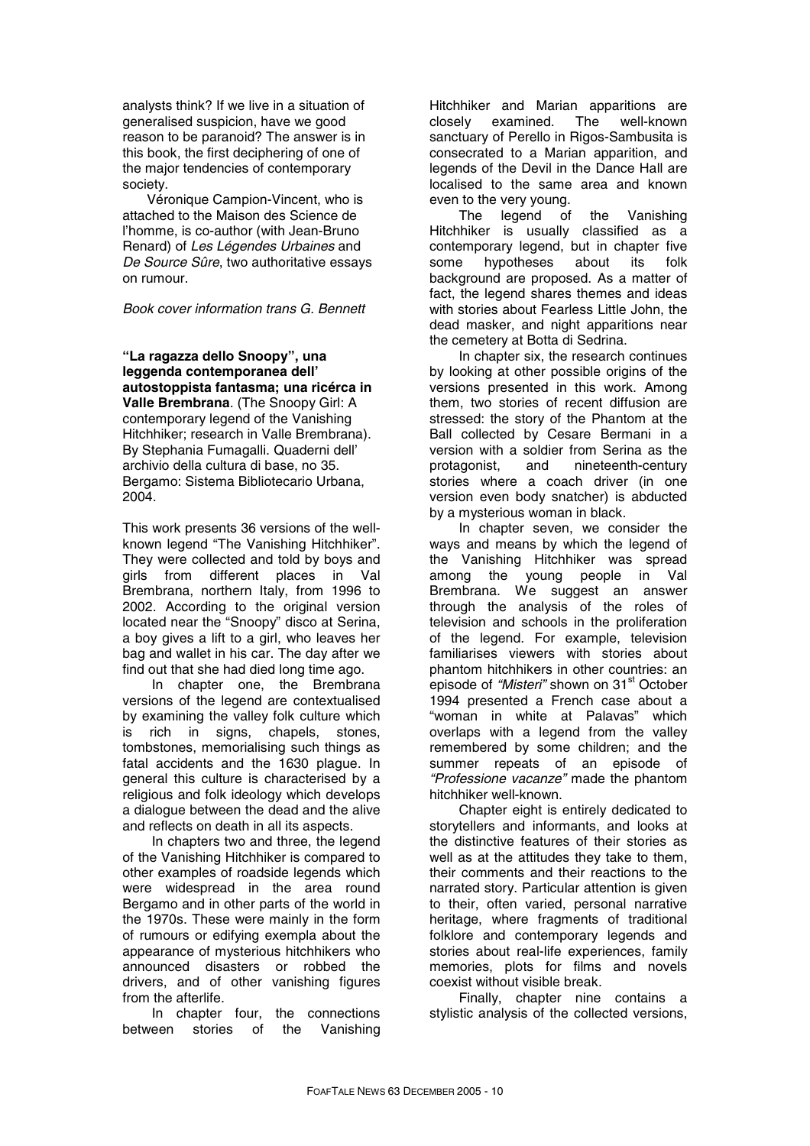analysts think? If we live in a situation of generalised suspicion, have we good reason to be paranoid? The answer is in this book, the first deciphering of one of the major tendencies of contemporary society.

Véronique Campion-Vincent, who is attached to the Maison des Science de l'homme, is co-author (with Jean-Bruno Renard) of *Les Légendes Urbaines* and *De Source Sûre*, two authoritative essays on rumour.

### *Book cover information trans G. Bennett*

**"La ragazza dello Snoopy", una leggenda contemporanea dell' autostoppista fantasma; una ricérca in Valle Brembrana**. (The Snoopy Girl: A contemporary legend of the Vanishing Hitchhiker; research in Valle Brembrana). By Stephania Fumagalli. Quaderni dell' archivio della cultura di base, no 35. Bergamo: Sistema Bibliotecario Urbana, 2004.

This work presents 36 versions of the wellknown legend "The Vanishing Hitchhiker". They were collected and told by boys and girls from different places in Val Brembrana, northern Italy, from 1996 to 2002. According to the original version located near the "Snoopy" disco at Serina, a boy gives a lift to a girl, who leaves her bag and wallet in his car. The day after we find out that she had died long time ago.

In chapter one, the Brembrana versions of the legend are contextualised by examining the valley folk culture which is rich in signs, chapels, stones, tombstones, memorialising such things as fatal accidents and the 1630 plague. In general this culture is characterised by a religious and folk ideology which develops a dialogue between the dead and the alive and reflects on death in all its aspects.

In chapters two and three, the legend of the Vanishing Hitchhiker is compared to other examples of roadside legends which were widespread in the area round Bergamo and in other parts of the world in the 1970s. These were mainly in the form of rumours or edifying exempla about the appearance of mysterious hitchhikers who announced disasters or robbed the drivers, and of other vanishing figures from the afterlife.

In chapter four, the connections between stories of the Vanishing Hitchhiker and Marian apparitions are closely examined. The well-known sanctuary of Perello in Rigos-Sambusita is consecrated to a Marian apparition, and legends of the Devil in the Dance Hall are localised to the same area and known even to the very young.

The legend of the Vanishing Hitchhiker is usually classified as a contemporary legend, but in chapter five some hypotheses about its folk background are proposed. As a matter of fact, the legend shares themes and ideas with stories about Fearless Little John, the dead masker, and night apparitions near the cemetery at Botta di Sedrina.

In chapter six, the research continues by looking at other possible origins of the versions presented in this work. Among them, two stories of recent diffusion are stressed: the story of the Phantom at the Ball collected by Cesare Bermani in a version with a soldier from Serina as the protagonist, and nineteenth-century stories where a coach driver (in one version even body snatcher) is abducted by a mysterious woman in black.

In chapter seven, we consider the ways and means by which the legend of the Vanishing Hitchhiker was spread among the young people in Val Brembrana. We suggest an answer through the analysis of the roles of television and schools in the proliferation of the legend. For example, television familiarises viewers with stories about phantom hitchhikers in other countries: an episode of "Misteri" shown on 31<sup>st</sup> October 1994 presented a French case about a "woman in white at Palavas" which overlaps with a legend from the valley remembered by some children; and the summer repeats of an episode of *"Professione vacanze"* made the phantom hitchhiker well-known.

Chapter eight is entirely dedicated to storytellers and informants, and looks at the distinctive features of their stories as well as at the attitudes they take to them, their comments and their reactions to the narrated story. Particular attention is given to their, often varied, personal narrative heritage, where fragments of traditional folklore and contemporary legends and stories about real-life experiences, family memories, plots for films and novels coexist without visible break.

Finally, chapter nine contains a stylistic analysis of the collected versions,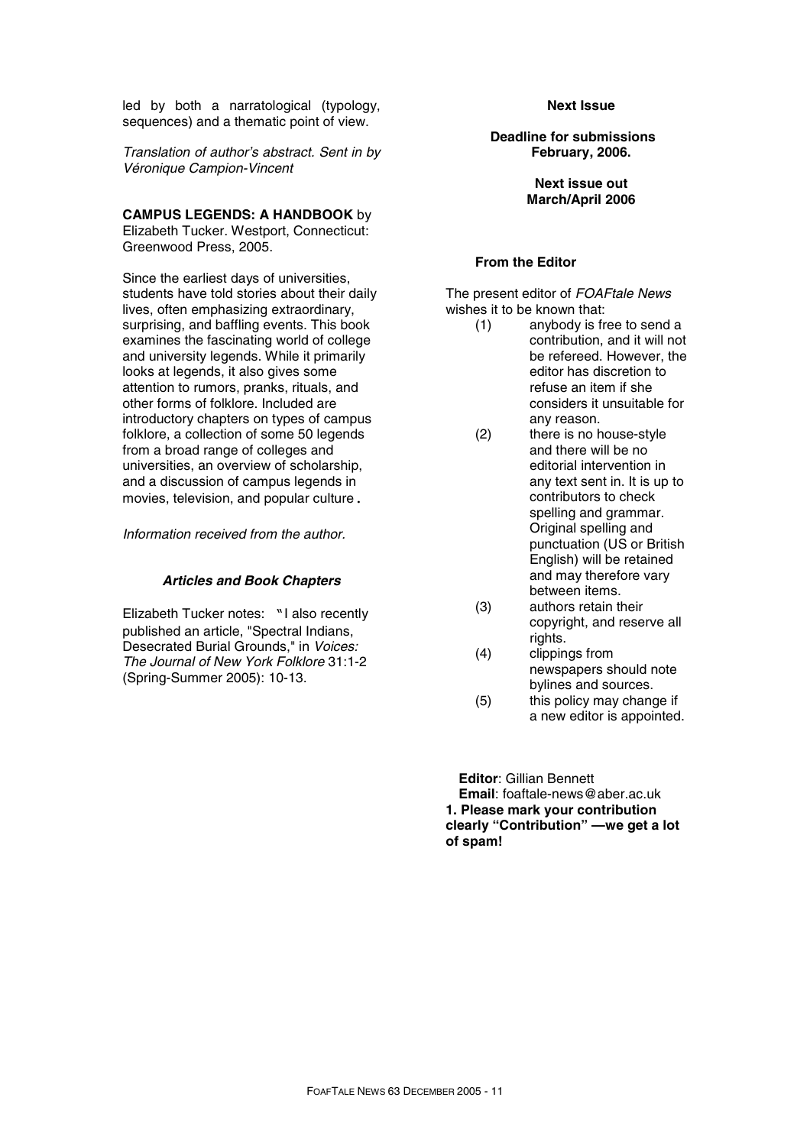led by both a narratological (typology, sequences) and a thematic point of view.

*Translation of author's abstract. Sent in by Véronique Campion-Vincent* 

**CAMPUS LEGENDS: A HANDBOOK** by

Elizabeth Tucker. Westport, Connecticut: Greenwood Press, 2005.

Since the earliest days of universities, students have told stories about their daily lives, often emphasizing extraordinary, surprising, and baffling events. This book examines the fascinating world of college and university legends. While it primarily looks at legends, it also gives some attention to rumors, pranks, rituals, and other forms of folklore. Included are introductory chapters on types of campus folklore, a collection of some 50 legends from a broad range of colleges and universities, an overview of scholarship, and a discussion of campus legends in movies, television, and popular culture.

*Information received from the author.* 

### *Articles and Book Chapters*

Elizabeth Tucker notes: "I also recently published an article, "Spectral Indians, Desecrated Burial Grounds," in *Voices: The Journal of New York Folklore* 31:1-2 (Spring-Summer 2005): 10-13.

### **Next Issue**

**Deadline for submissions February, 2006.** 

> **Next issue out March/April 2006**

### **From the Editor**

The present editor of *FOAFtale News*  wishes it to be known that:

- (1) anybody is free to send a contribution, and it will not be refereed. However, the editor has discretion to refuse an item if she considers it unsuitable for any reason.
- (2) there is no house-style and there will be no editorial intervention in any text sent in. It is up to contributors to check spelling and grammar. Original spelling and punctuation (US or British English) will be retained and may therefore vary between items.
- (3) authors retain their copyright, and reserve all rights.
- (4) clippings from newspapers should note bylines and sources.
- (5) this policy may change if a new editor is appointed.

**Editor**: Gillian Bennett **Email**: foaftale-news@aber.ac.uk **1. Please mark your contribution clearly "Contribution" —we get a lot of spam!**